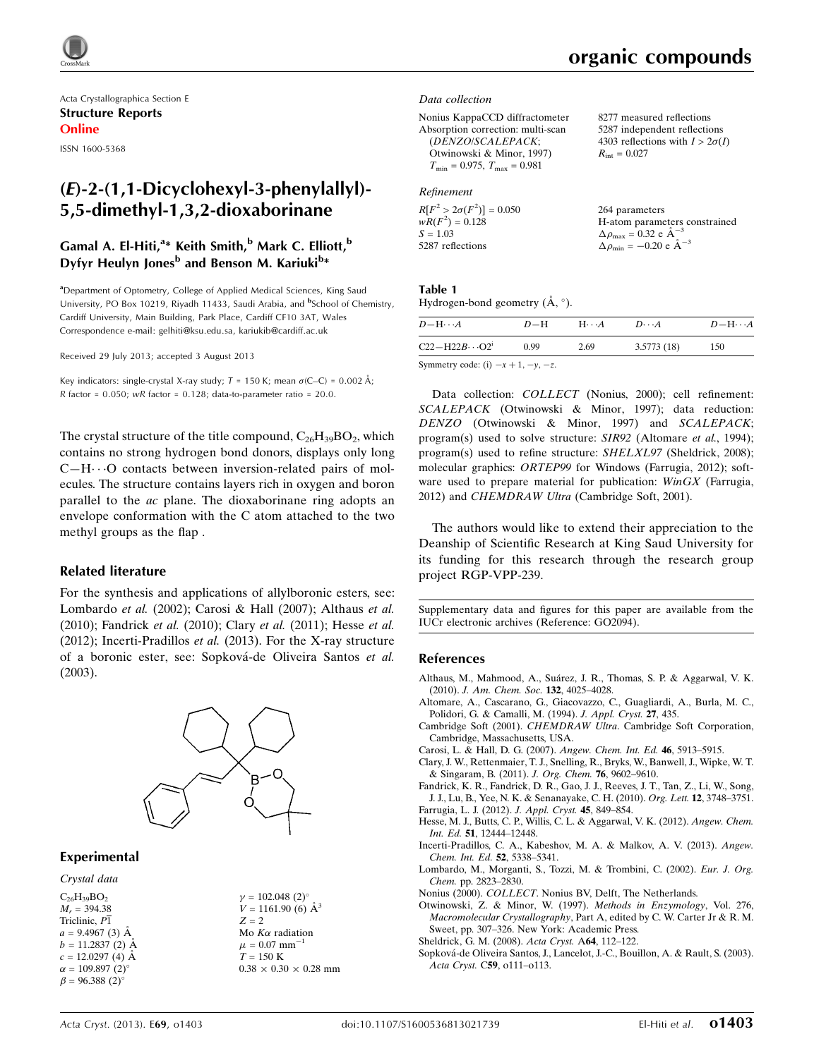

Acta Crystallographica Section E Structure Reports Online

ISSN 1600-5368

# (E)-2-(1,1-Dicyclohexyl-3-phenylallyl)- 5,5-dimethyl-1,3,2-dioxaborinane

## Gamal A. El-Hiti,<sup>a</sup>\* Keith Smith,<sup>b</sup> Mark C. Elliott,<sup>b</sup> Dyfyr Heulyn Jones<sup>b</sup> and Benson M. Kariuki<sup>b</sup>\*

<sup>a</sup>Department of Optometry, College of Applied Medical Sciences, King Saud University, PO Box 10219, Riyadh 11433, Saudi Arabia, and <sup>b</sup>School of Chemistry, Cardiff University, Main Building, Park Place, Cardiff CF10 3AT, Wales Correspondence e-mail: [gelhiti@ksu.edu.sa, kariukib@cardiff.ac.uk](http://scripts.iucr.org/cgi-bin/cr.cgi?rm=pdfbb&cnor=go2094&bbid=BB14)

Received 29 July 2013; accepted 3 August 2013

Key indicators: single-crystal X-ray study;  $T = 150$  K; mean  $\sigma$ (C–C) = 0.002 Å;  $R$  factor = 0.050; wR factor = 0.128; data-to-parameter ratio = 20.0.

The crystal structure of the title compound,  $C_{26}H_{39}BO_2$ , which contains no strong hydrogen bond donors, displays only long  $C-H\cdots O$  contacts between inversion-related pairs of molecules. The structure contains layers rich in oxygen and boron parallel to the ac plane. The dioxaborinane ring adopts an envelope conformation with the C atom attached to the two methyl groups as the flap .

#### Related literature

For the synthesis and applications of allylboronic esters, see: Lombardo et al. (2002); Carosi & Hall (2007); Althaus et al. (2010); Fandrick et al. (2010); Clary et al. (2011); Hesse et al. (2012); Incerti-Pradillos et al. (2013). For the X-ray structure of a boronic ester, see: Sopková-de Oliveira Santos et al. (2003).



#### Experimental

Crystal data

 $C_{26}H_{39}BO_2$  $M_r = 394.38$ Triclinic, P1  $a = 9.4967(3)$  Å  $b = 11.2837(2)$  Å  $c = 12.0297(4)$  Å  $\alpha = 109.897 \ (2)^{\circ}$  $\beta = 96.388(2)$ °

 $\nu = 102.048$  (2)<sup>o</sup>  $V = 1161.90$  (6)  $\AA^3$  $Z = 2$ Mo  $K\alpha$  radiation  $\mu = 0.07$  mm<sup>-1</sup>  $T = 150 \text{ K}$  $0.38\,\times\,0.30\,\times\,0.28$  mm 8277 measured reflections 5287 independent reflections 4303 reflections with  $I > 2\sigma(I)$ 

 $R_{\text{int}} = 0.027$ 

#### Data collection

Nonius KappaCCD diffractometer Absorption correction: multi-scan (DENZO/SCALEPACK; Otwinowski & Minor, 1997)  $T_{\min} = 0.975, T_{\max} = 0.981$ 

#### Refinement

| $R[F^2 > 2\sigma(F^2)] = 0.050$ | 264 parameters                                      |
|---------------------------------|-----------------------------------------------------|
| $wR(F^2) = 0.128$               | H-atom parameters constrained                       |
| $S = 1.03$                      | $\Delta \rho_{\text{max}} = 0.32 \text{ e A}^{-3}$  |
| 5287 reflections                | $\Delta \rho_{\text{min}} = -0.20 \text{ e A}^{-3}$ |

#### Table 1

Hydrogen-bond geometry  $(\mathring{A}, \degree)$ .

| $D - H \cdots A$                    | $D-H$ | $H\cdots A$ | $D\cdots A$ | $D - H \cdots A$ |
|-------------------------------------|-------|-------------|-------------|------------------|
| $C22 - H22B \cdots Q2^{i}$          | 0.99  | 2.69        | 3.5773(18)  | 150              |
| Symmetry code: (i) $-x+1, -y, -z$ . |       |             |             |                  |

Data collection: COLLECT (Nonius, 2000); cell refinement: SCALEPACK (Otwinowski & Minor, 1997); data reduction: DENZO (Otwinowski & Minor, 1997) and SCALEPACK; program(s) used to solve structure: SIR92 (Altomare et al., 1994); program(s) used to refine structure: SHELXL97 (Sheldrick, 2008); molecular graphics: ORTEP99 for Windows (Farrugia, 2012); software used to prepare material for publication:  $WinGX$  (Farrugia, 2012) and *CHEMDRAW Ultra* (Cambridge Soft, 2001).

The authors would like to extend their appreciation to the Deanship of Scientific Research at King Saud University for its funding for this research through the research group project RGP-VPP-239.

Supplementary data and figures for this paper are available from the IUCr electronic archives (Reference: GO2094).

#### References

- Althaus, M., Mahmood, A., Suárez, J. R., Thomas, S. P. & Aggarwal, V. K. (2010). [J. Am. Chem. Soc.](http://scripts.iucr.org/cgi-bin/cr.cgi?rm=pdfbb&cnor=go2094&bbid=BB1) 132, 4025–4028.
- [Altomare, A., Cascarano, G., Giacovazzo, C., Guagliardi, A., Burla, M. C.,](http://scripts.iucr.org/cgi-bin/cr.cgi?rm=pdfbb&cnor=go2094&bbid=BB2) [Polidori, G. & Camalli, M. \(1994\).](http://scripts.iucr.org/cgi-bin/cr.cgi?rm=pdfbb&cnor=go2094&bbid=BB2) J. Appl. Cryst. 27, 435.
- Cambridge Soft (2001). CHEMDRAW Ultra[. Cambridge Soft Corporation,](http://scripts.iucr.org/cgi-bin/cr.cgi?rm=pdfbb&cnor=go2094&bbid=BB3) [Cambridge, Massachusetts, USA.](http://scripts.iucr.org/cgi-bin/cr.cgi?rm=pdfbb&cnor=go2094&bbid=BB3)
- [Carosi, L. & Hall, D. G. \(2007\).](http://scripts.iucr.org/cgi-bin/cr.cgi?rm=pdfbb&cnor=go2094&bbid=BB4) Angew. Chem. Int. Ed. 46, 5913–5915.
- [Clary, J. W., Rettenmaier, T. J., Snelling, R., Bryks, W., Banwell, J., Wipke, W. T.](http://scripts.iucr.org/cgi-bin/cr.cgi?rm=pdfbb&cnor=go2094&bbid=BB5) [& Singaram, B. \(2011\).](http://scripts.iucr.org/cgi-bin/cr.cgi?rm=pdfbb&cnor=go2094&bbid=BB5) J. Org. Chem. 76, 9602–9610.
- [Fandrick, K. R., Fandrick, D. R., Gao, J. J., Reeves, J. T., Tan, Z., Li, W., Song,](http://scripts.iucr.org/cgi-bin/cr.cgi?rm=pdfbb&cnor=go2094&bbid=BB6) [J. J., Lu, B., Yee, N. K. & Senanayake, C. H. \(2010\).](http://scripts.iucr.org/cgi-bin/cr.cgi?rm=pdfbb&cnor=go2094&bbid=BB6) Org. Lett. 12, 3748–3751. [Farrugia, L. J. \(2012\).](http://scripts.iucr.org/cgi-bin/cr.cgi?rm=pdfbb&cnor=go2094&bbid=BB7) J. Appl. Cryst. 45, 849–854.
- [Hesse, M. J., Butts, C. P., Willis, C. L. & Aggarwal, V. K. \(2012\).](http://scripts.iucr.org/cgi-bin/cr.cgi?rm=pdfbb&cnor=go2094&bbid=BB8) Angew. Chem. Int. Ed. 51[, 12444–12448.](http://scripts.iucr.org/cgi-bin/cr.cgi?rm=pdfbb&cnor=go2094&bbid=BB8)
- [Incerti-Pradillos, C. A., Kabeshov, M. A. & Malkov, A. V. \(2013\).](http://scripts.iucr.org/cgi-bin/cr.cgi?rm=pdfbb&cnor=go2094&bbid=BB9) Angew. [Chem. Int. Ed.](http://scripts.iucr.org/cgi-bin/cr.cgi?rm=pdfbb&cnor=go2094&bbid=BB9) 52, 5338–5341.
- [Lombardo, M., Morganti, S., Tozzi, M. & Trombini, C. \(2002\).](http://scripts.iucr.org/cgi-bin/cr.cgi?rm=pdfbb&cnor=go2094&bbid=BB10) Eur. J. Org. Chem. [pp. 2823–2830.](http://scripts.iucr.org/cgi-bin/cr.cgi?rm=pdfbb&cnor=go2094&bbid=BB10)
- Nonius (2000). COLLECT[. Nonius BV, Delft, The Netherlands.](http://scripts.iucr.org/cgi-bin/cr.cgi?rm=pdfbb&cnor=go2094&bbid=BB11)
- [Otwinowski, Z. & Minor, W. \(1997\).](http://scripts.iucr.org/cgi-bin/cr.cgi?rm=pdfbb&cnor=go2094&bbid=BB12) Methods in Enzymology, Vol. 276, Macromolecular Crystallography[, Part A, edited by C. W. Carter Jr & R. M.](http://scripts.iucr.org/cgi-bin/cr.cgi?rm=pdfbb&cnor=go2094&bbid=BB12) [Sweet, pp. 307–326. New York: Academic Press.](http://scripts.iucr.org/cgi-bin/cr.cgi?rm=pdfbb&cnor=go2094&bbid=BB12)
- [Sheldrick, G. M. \(2008\).](http://scripts.iucr.org/cgi-bin/cr.cgi?rm=pdfbb&cnor=go2094&bbid=BB13) Acta Cryst. A64, 112–122.
- [Sopkova´-de Oliveira Santos, J., Lancelot, J.-C., Bouillon, A. & Rault, S. \(2003\).](http://scripts.iucr.org/cgi-bin/cr.cgi?rm=pdfbb&cnor=go2094&bbid=BB14) Acta Cryst. C59[, o111–o113.](http://scripts.iucr.org/cgi-bin/cr.cgi?rm=pdfbb&cnor=go2094&bbid=BB14)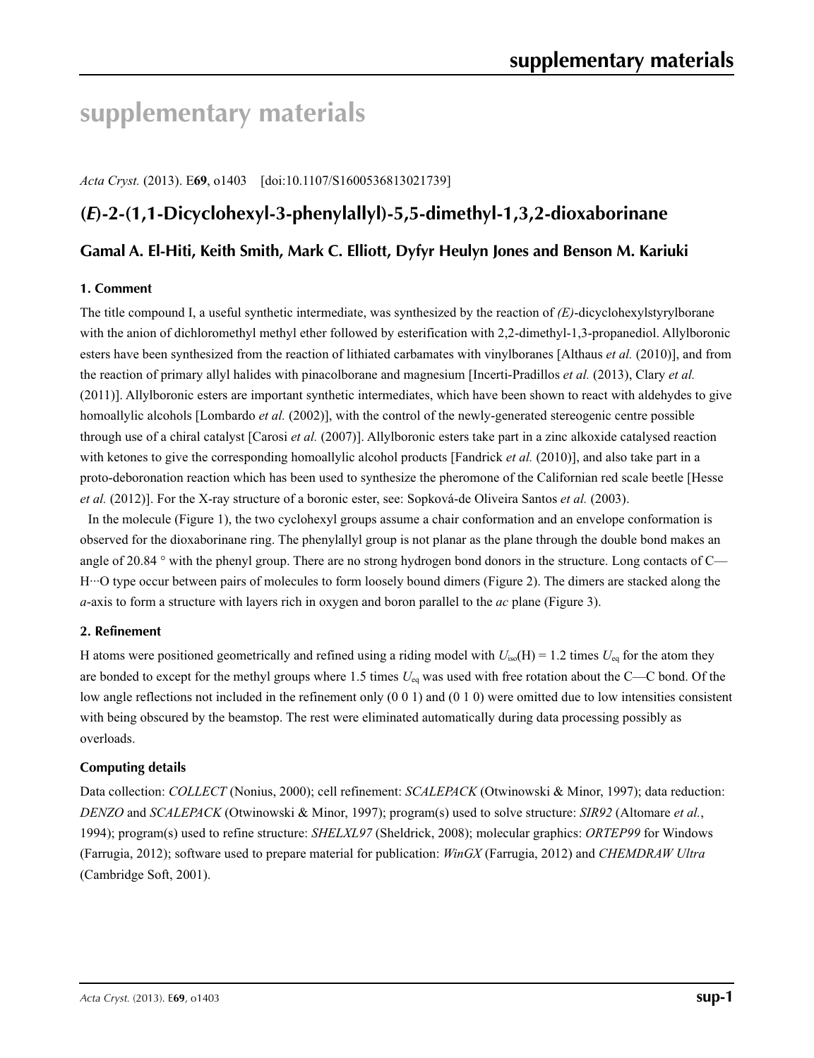# **supplementary materials**

*Acta Cryst.* (2013). E**69**, o1403 [doi:10.1107/S1600536813021739]

# **(***E***)-2-(1,1-Dicyclohexyl-3-phenylallyl)-5,5-dimethyl-1,3,2-dioxaborinane**

## **Gamal A. El-Hiti, Keith Smith, Mark C. Elliott, Dyfyr Heulyn Jones and Benson M. Kariuki**

#### **1. Comment**

The title compound I, a useful synthetic intermediate, was synthesized by the reaction of *(E)*-dicyclohexylstyrylborane with the anion of dichloromethyl methyl ether followed by esterification with 2,2-dimethyl-1,3-propanediol. Allylboronic esters have been synthesized from the reaction of lithiated carbamates with vinylboranes [Althaus *et al.* (2010)], and from the reaction of primary allyl halides with pinacolborane and magnesium [Incerti-Pradillos *et al.* (2013), Clary *et al.* (2011)]. Allylboronic esters are important synthetic intermediates, which have been shown to react with aldehydes to give homoallylic alcohols [Lombardo *et al.* (2002)], with the control of the newly-generated stereogenic centre possible through use of a chiral catalyst [Carosi *et al.* (2007)]. Allylboronic esters take part in a zinc alkoxide catalysed reaction with ketones to give the corresponding homoallylic alcohol products [Fandrick *et al.* (2010)], and also take part in a proto-deboronation reaction which has been used to synthesize the pheromone of the Californian red scale beetle [Hesse *et al.* (2012)]. For the X-ray structure of a boronic ester, see: Sopková-de Oliveira Santos *et al.* (2003).

In the molecule (Figure 1), the two cyclohexyl groups assume a chair conformation and an envelope conformation is observed for the dioxaborinane ring. The phenylallyl group is not planar as the plane through the double bond makes an angle of 20.84 ° with the phenyl group. There are no strong hydrogen bond donors in the structure. Long contacts of C— H···O type occur between pairs of molecules to form loosely bound dimers (Figure 2). The dimers are stacked along the *a*-axis to form a structure with layers rich in oxygen and boron parallel to the *ac* plane (Figure 3).

#### **2. Refinement**

H atoms were positioned geometrically and refined using a riding model with  $U_{iso}(H) = 1.2$  times  $U_{eq}$  for the atom they are bonded to except for the methyl groups where 1.5 times *U*eq was used with free rotation about the C—C bond. Of the low angle reflections not included in the refinement only (0 0 1) and (0 1 0) were omitted due to low intensities consistent with being obscured by the beamstop. The rest were eliminated automatically during data processing possibly as overloads.

#### **Computing details**

Data collection: *COLLECT* (Nonius, 2000); cell refinement: *SCALEPACK* (Otwinowski & Minor, 1997); data reduction: *DENZO* and *SCALEPACK* (Otwinowski & Minor, 1997); program(s) used to solve structure: *SIR92* (Altomare *et al.*, 1994); program(s) used to refine structure: *SHELXL97* (Sheldrick, 2008); molecular graphics: *ORTEP99* for Windows (Farrugia, 2012); software used to prepare material for publication: *WinGX* (Farrugia, 2012) and *CHEMDRAW Ultra* (Cambridge Soft, 2001).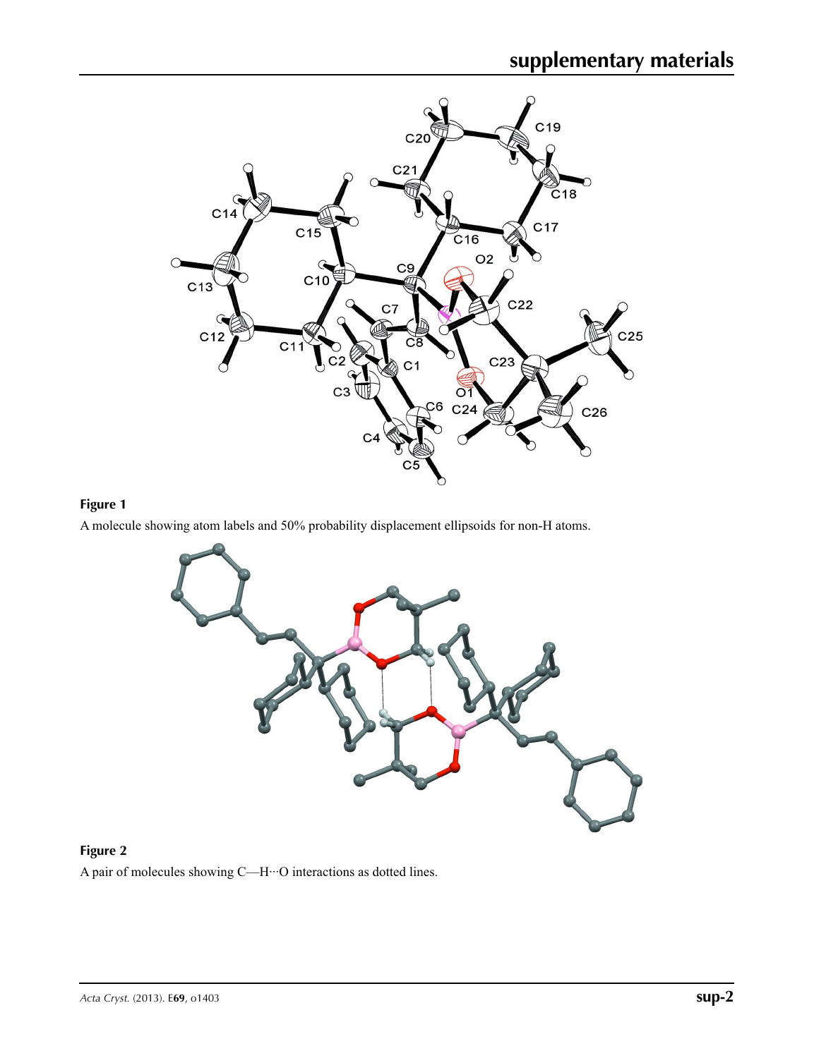

# **Figure 1**

A molecule showing atom labels and 50% probability displacement ellipsoids for non-H atoms.



# **Figure 2**

A pair of molecules showing C—H···O interactions as dotted lines.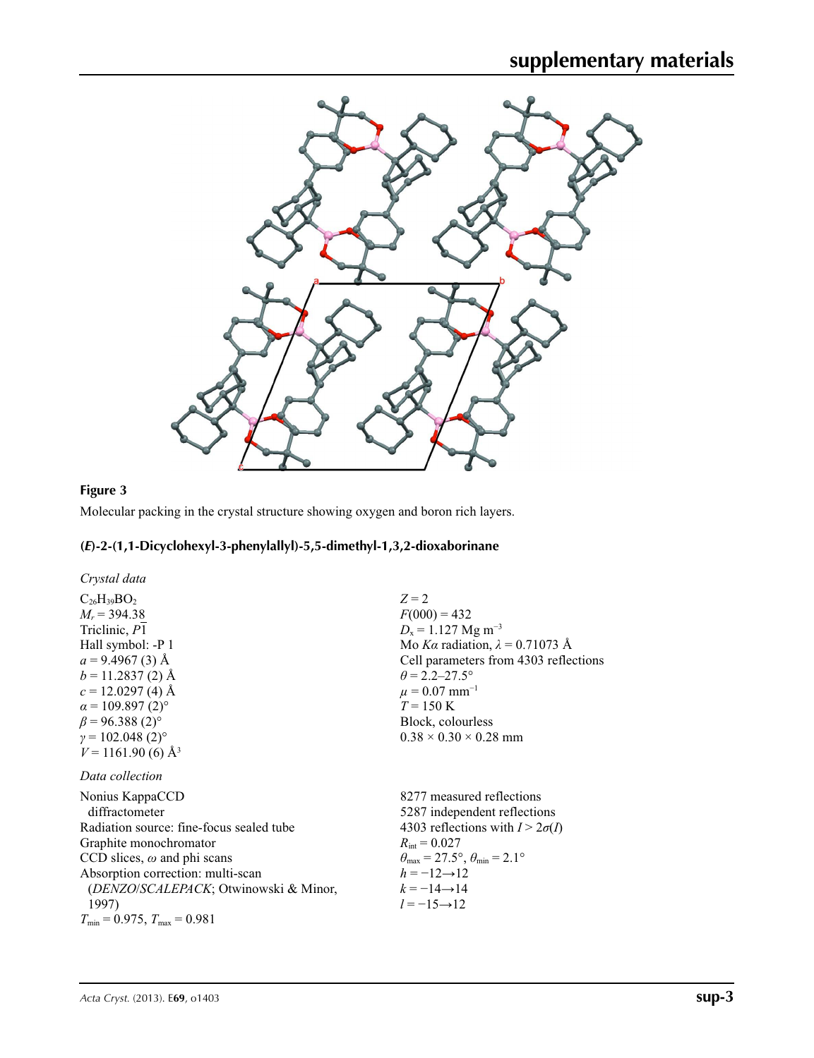

# **Figure 3**

Molecular packing in the crystal structure showing oxygen and boron rich layers.

# **(***E***)-2-(1,1-Dicyclohexyl-3-phenylallyl)-5,5-dimethyl-1,3,2-dioxaborinane**

| Crystal data                                                                                                                                                                                                                                                                   |                                                                                                                                                                                                                                                                                             |
|--------------------------------------------------------------------------------------------------------------------------------------------------------------------------------------------------------------------------------------------------------------------------------|---------------------------------------------------------------------------------------------------------------------------------------------------------------------------------------------------------------------------------------------------------------------------------------------|
| $C_{26}H_{39}BO_2$<br>$M_r = 394.38$<br>Triclinic, P1<br>Hall symbol: -P 1<br>$a = 9.4967(3)$ Å<br>$b = 11.2837(2)$ Å<br>$c = 12.0297(4)$ Å<br>$\alpha$ = 109.897 (2) <sup>o</sup><br>$\beta$ = 96.388 (2) <sup>o</sup><br>$\gamma = 102.048(2)$ °                             | $Z=2$<br>$F(000) = 432$<br>$D_x = 1.127$ Mg m <sup>-3</sup><br>Mo Ka radiation, $\lambda = 0.71073$ Å<br>Cell parameters from 4303 reflections<br>$\theta$ = 2.2–27.5°<br>$\mu = 0.07$ mm <sup>-1</sup><br>$T = 150 \text{ K}$<br>Block, colourless<br>$0.38 \times 0.30 \times 0.28$ mm    |
| $V = 1161.90$ (6) $\AA^3$                                                                                                                                                                                                                                                      |                                                                                                                                                                                                                                                                                             |
| Data collection                                                                                                                                                                                                                                                                |                                                                                                                                                                                                                                                                                             |
| Nonius KappaCCD<br>diffractometer<br>Radiation source: fine-focus sealed tube<br>Graphite monochromator<br>CCD slices, $\omega$ and phi scans<br>Absorption correction: multi-scan<br>(DENZO/SCALEPACK; Otwinowski & Minor,<br>1997)<br>$T_{\min}$ = 0.975, $T_{\max}$ = 0.981 | 8277 measured reflections<br>5287 independent reflections<br>4303 reflections with $I > 2\sigma(I)$<br>$R_{\rm int} = 0.027$<br>$\theta_{\text{max}} = 27.5^{\circ}, \theta_{\text{min}} = 2.1^{\circ}$<br>$h = -12 \rightarrow 12$<br>$k = -14 \rightarrow 14$<br>$l = -15 \rightarrow 12$ |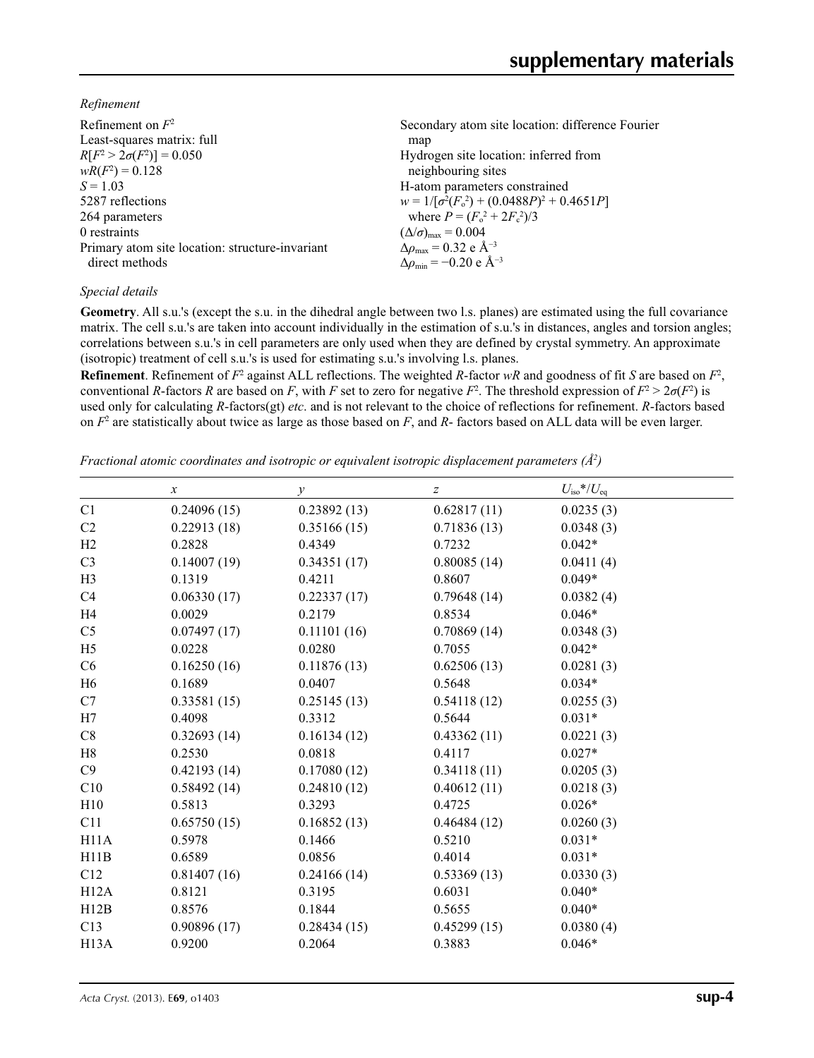*Refinement*

| Refinement on $F^2$                             | Secondary atom site location: difference Fourier          |
|-------------------------------------------------|-----------------------------------------------------------|
| Least-squares matrix: full                      | map                                                       |
| $R[F^2 > 2\sigma(F^2)] = 0.050$                 | Hydrogen site location: inferred from                     |
| $wR(F^2) = 0.128$                               | neighbouring sites                                        |
| $S = 1.03$                                      | H-atom parameters constrained                             |
| 5287 reflections                                | $w = 1/[\sigma^2(F_0^2) + (0.0488P)^2 + 0.4651P]$         |
| 264 parameters                                  | where $P = (F_o^2 + 2F_c^2)/3$                            |
| 0 restraints                                    | $(\Delta/\sigma)_{\text{max}} = 0.004$                    |
| Primary atom site location: structure-invariant | $\Delta\rho_{\text{max}} = 0.32$ e Å <sup>-3</sup>        |
| direct methods                                  | $\Delta\rho_{\rm min} = -0.20 \text{ e } \text{\AA}^{-3}$ |
|                                                 |                                                           |

### *Special details*

**Geometry**. All s.u.'s (except the s.u. in the dihedral angle between two l.s. planes) are estimated using the full covariance matrix. The cell s.u.'s are taken into account individually in the estimation of s.u.'s in distances, angles and torsion angles; correlations between s.u.'s in cell parameters are only used when they are defined by crystal symmetry. An approximate (isotropic) treatment of cell s.u.'s is used for estimating s.u.'s involving l.s. planes.

**Refinement**. Refinement of  $F^2$  against ALL reflections. The weighted  $R$ -factor  $wR$  and goodness of fit  $S$  are based on  $F^2$ , conventional *R*-factors *R* are based on *F*, with *F* set to zero for negative *F*<sup>2</sup>. The threshold expression of  $F^2 > 2\sigma(F^2)$  is used only for calculating *R*-factors(gt) *etc*. and is not relevant to the choice of reflections for refinement. *R*-factors based on *F*<sup>2</sup> are statistically about twice as large as those based on *F*, and *R*- factors based on ALL data will be even larger.

*Fractional atomic coordinates and isotropic or equivalent isotropic displacement parameters (Å<sup>2</sup>)* 

|                   | $\boldsymbol{x}$ | $\mathcal{V}$ | Z           | $U_{\rm iso}$ */ $U_{\rm eq}$ |
|-------------------|------------------|---------------|-------------|-------------------------------|
| C1                | 0.24096(15)      | 0.23892(13)   | 0.62817(11) | 0.0235(3)                     |
| C2                | 0.22913(18)      | 0.35166(15)   | 0.71836(13) | 0.0348(3)                     |
| H <sub>2</sub>    | 0.2828           | 0.4349        | 0.7232      | $0.042*$                      |
| C <sub>3</sub>    | 0.14007(19)      | 0.34351(17)   | 0.80085(14) | 0.0411(4)                     |
| H <sub>3</sub>    | 0.1319           | 0.4211        | 0.8607      | $0.049*$                      |
| C <sub>4</sub>    | 0.06330(17)      | 0.22337(17)   | 0.79648(14) | 0.0382(4)                     |
| H <sub>4</sub>    | 0.0029           | 0.2179        | 0.8534      | $0.046*$                      |
| C <sub>5</sub>    | 0.07497(17)      | 0.11101(16)   | 0.70869(14) | 0.0348(3)                     |
| H <sub>5</sub>    | 0.0228           | 0.0280        | 0.7055      | $0.042*$                      |
| C6                | 0.16250(16)      | 0.11876(13)   | 0.62506(13) | 0.0281(3)                     |
| H <sub>6</sub>    | 0.1689           | 0.0407        | 0.5648      | $0.034*$                      |
| C7                | 0.33581(15)      | 0.25145(13)   | 0.54118(12) | 0.0255(3)                     |
| H7                | 0.4098           | 0.3312        | 0.5644      | $0.031*$                      |
| C8                | 0.32693(14)      | 0.16134(12)   | 0.43362(11) | 0.0221(3)                     |
| H8                | 0.2530           | 0.0818        | 0.4117      | $0.027*$                      |
| C9                | 0.42193(14)      | 0.17080(12)   | 0.34118(11) | 0.0205(3)                     |
| C10               | 0.58492(14)      | 0.24810(12)   | 0.40612(11) | 0.0218(3)                     |
| H10               | 0.5813           | 0.3293        | 0.4725      | $0.026*$                      |
| C11               | 0.65750(15)      | 0.16852(13)   | 0.46484(12) | 0.0260(3)                     |
| H11A              | 0.5978           | 0.1466        | 0.5210      | $0.031*$                      |
| H11B              | 0.6589           | 0.0856        | 0.4014      | $0.031*$                      |
| C12               | 0.81407(16)      | 0.24166(14)   | 0.53369(13) | 0.0330(3)                     |
| H12A              | 0.8121           | 0.3195        | 0.6031      | $0.040*$                      |
| H12B              | 0.8576           | 0.1844        | 0.5655      | $0.040*$                      |
| C13               | 0.90896(17)      | 0.28434(15)   | 0.45299(15) | 0.0380(4)                     |
| H <sub>13</sub> A | 0.9200           | 0.2064        | 0.3883      | $0.046*$                      |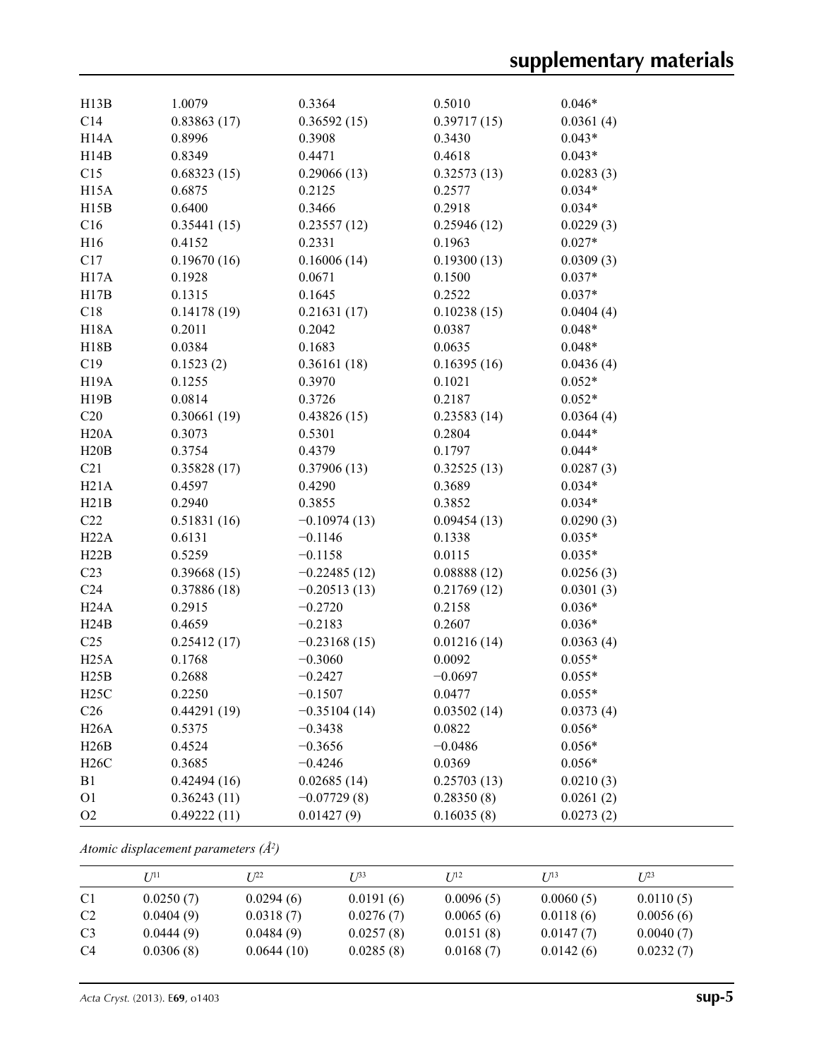| H13B              | 1.0079      | 0.3364         | 0.5010      | $0.046*$  |
|-------------------|-------------|----------------|-------------|-----------|
| C14               | 0.83863(17) | 0.36592(15)    | 0.39717(15) | 0.0361(4) |
| H14A              | 0.8996      | 0.3908         | 0.3430      | $0.043*$  |
| H14B              | 0.8349      | 0.4471         | 0.4618      | $0.043*$  |
| C15               | 0.68323(15) | 0.29066(13)    | 0.32573(13) | 0.0283(3) |
| H <sub>15</sub> A | 0.6875      | 0.2125         | 0.2577      | $0.034*$  |
| H15B              | 0.6400      | 0.3466         | 0.2918      | $0.034*$  |
| C16               | 0.35441(15) | 0.23557(12)    | 0.25946(12) | 0.0229(3) |
| H16               | 0.4152      | 0.2331         | 0.1963      | $0.027*$  |
| C17               | 0.19670(16) | 0.16006(14)    | 0.19300(13) | 0.0309(3) |
| H17A              | 0.1928      | 0.0671         | 0.1500      | $0.037*$  |
| H17B              | 0.1315      | 0.1645         | 0.2522      | $0.037*$  |
| C18               | 0.14178(19) | 0.21631(17)    | 0.10238(15) | 0.0404(4) |
| <b>H18A</b>       | 0.2011      | 0.2042         | 0.0387      | $0.048*$  |
| H18B              | 0.0384      | 0.1683         | 0.0635      | $0.048*$  |
| C19               | 0.1523(2)   | 0.36161(18)    | 0.16395(16) | 0.0436(4) |
| H <sub>19</sub> A | 0.1255      | 0.3970         | 0.1021      | $0.052*$  |
| H19B              | 0.0814      | 0.3726         | 0.2187      | $0.052*$  |
| C20               | 0.30661(19) | 0.43826(15)    | 0.23583(14) | 0.0364(4) |
| H20A              | 0.3073      | 0.5301         | 0.2804      | $0.044*$  |
| H20B              | 0.3754      | 0.4379         | 0.1797      | $0.044*$  |
| C21               | 0.35828(17) | 0.37906(13)    | 0.32525(13) | 0.0287(3) |
| H21A              | 0.4597      | 0.4290         | 0.3689      | $0.034*$  |
| H21B              | 0.2940      | 0.3855         | 0.3852      | $0.034*$  |
| C22               | 0.51831(16) | $-0.10974(13)$ | 0.09454(13) | 0.0290(3) |
| H22A              | 0.6131      | $-0.1146$      | 0.1338      | $0.035*$  |
| H22B              | 0.5259      | $-0.1158$      | 0.0115      | $0.035*$  |
| C <sub>23</sub>   | 0.39668(15) | $-0.22485(12)$ | 0.08888(12) | 0.0256(3) |
| C <sub>24</sub>   | 0.37886(18) | $-0.20513(13)$ | 0.21769(12) | 0.0301(3) |
| H24A              | 0.2915      | $-0.2720$      | 0.2158      | $0.036*$  |
| H24B              | 0.4659      | $-0.2183$      | 0.2607      | $0.036*$  |
| C <sub>25</sub>   | 0.25412(17) | $-0.23168(15)$ | 0.01216(14) | 0.0363(4) |
| H25A              | 0.1768      | $-0.3060$      | 0.0092      | $0.055*$  |
| H25B              | 0.2688      | $-0.2427$      | $-0.0697$   | $0.055*$  |
| H25C              | 0.2250      | $-0.1507$      | 0.0477      | $0.055*$  |
| C <sub>26</sub>   | 0.44291(19) | $-0.35104(14)$ | 0.03502(14) | 0.0373(4) |
| H26A              | 0.5375      | $-0.3438$      | 0.0822      | $0.056*$  |
| H26B              | 0.4524      | $-0.3656$      | $-0.0486$   | $0.056*$  |
| H26C              | 0.3685      | $-0.4246$      | 0.0369      | $0.056*$  |
| B1                | 0.42494(16) | 0.02685(14)    | 0.25703(13) | 0.0210(3) |
| O <sub>1</sub>    | 0.36243(11) | $-0.07729(8)$  | 0.28350(8)  | 0.0261(2) |
| O2                | 0.49222(11) | 0.01427(9)     | 0.16035(8)  | 0.0273(2) |

*Atomic displacement parameters (Å2 )*

|                | I/11      | T 122      | I 1 <sup>33</sup> | I/I <sup>2</sup> | I/13      | $I^{23}$  |
|----------------|-----------|------------|-------------------|------------------|-----------|-----------|
| C <sub>1</sub> | 0.0250(7) | 0.0294(6)  | 0.0191(6)         | 0.0096(5)        | 0.0060(5) | 0.0110(5) |
| C <sub>2</sub> | 0.0404(9) | 0.0318(7)  | 0.0276(7)         | 0.0065(6)        | 0.0118(6) | 0.0056(6) |
| C <sub>3</sub> | 0.0444(9) | 0.0484(9)  | 0.0257(8)         | 0.0151(8)        | 0.0147(7) | 0.0040(7) |
| C4             | 0.0306(8) | 0.0644(10) | 0.0285(8)         | 0.0168(7)        | 0.0142(6) | 0.0232(7) |

*Acta Cryst.* (2013). E**69**, o1403 **sup-5**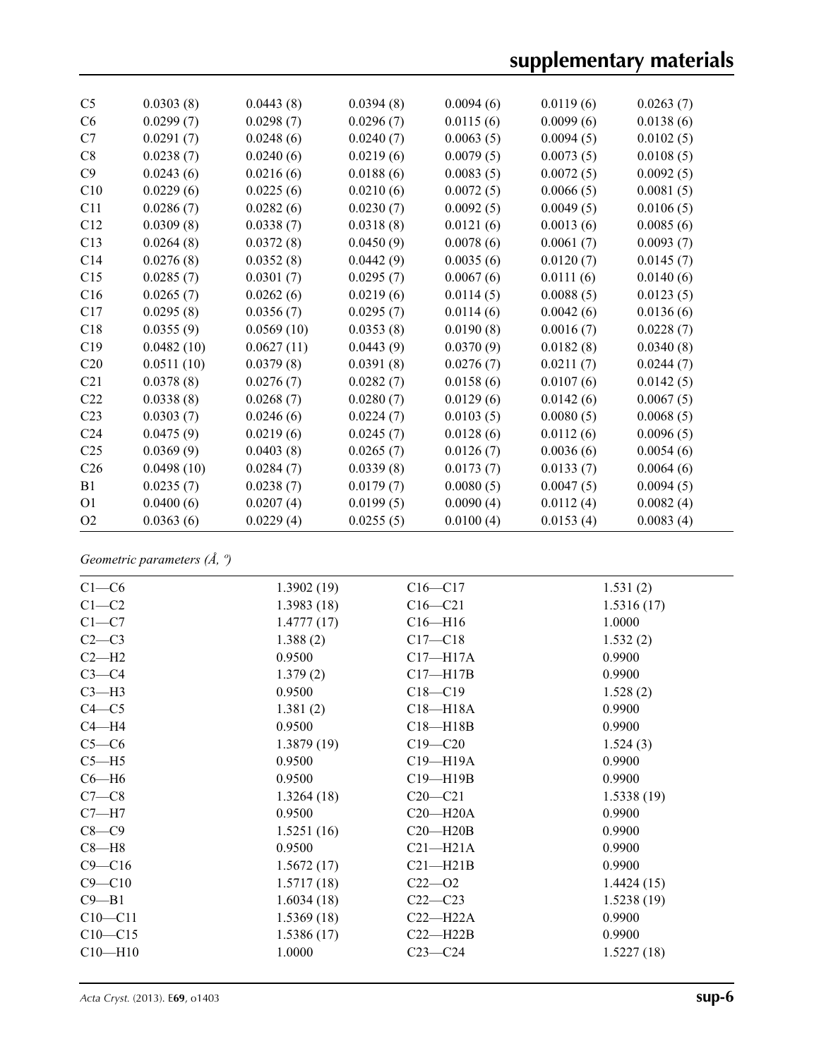| C <sub>5</sub>  | 0.0303(8)  | 0.0443(8)  | 0.0394(8) | 0.0094(6) | 0.0119(6) | 0.0263(7) |
|-----------------|------------|------------|-----------|-----------|-----------|-----------|
| C <sub>6</sub>  | 0.0299(7)  | 0.0298(7)  | 0.0296(7) | 0.0115(6) | 0.0099(6) | 0.0138(6) |
| C7              | 0.0291(7)  | 0.0248(6)  | 0.0240(7) | 0.0063(5) | 0.0094(5) | 0.0102(5) |
| C8              | 0.0238(7)  | 0.0240(6)  | 0.0219(6) | 0.0079(5) | 0.0073(5) | 0.0108(5) |
| C9              | 0.0243(6)  | 0.0216(6)  | 0.0188(6) | 0.0083(5) | 0.0072(5) | 0.0092(5) |
| C10             | 0.0229(6)  | 0.0225(6)  | 0.0210(6) | 0.0072(5) | 0.0066(5) | 0.0081(5) |
| C11             | 0.0286(7)  | 0.0282(6)  | 0.0230(7) | 0.0092(5) | 0.0049(5) | 0.0106(5) |
| C12             | 0.0309(8)  | 0.0338(7)  | 0.0318(8) | 0.0121(6) | 0.0013(6) | 0.0085(6) |
| C13             | 0.0264(8)  | 0.0372(8)  | 0.0450(9) | 0.0078(6) | 0.0061(7) | 0.0093(7) |
| C14             | 0.0276(8)  | 0.0352(8)  | 0.0442(9) | 0.0035(6) | 0.0120(7) | 0.0145(7) |
| C15             | 0.0285(7)  | 0.0301(7)  | 0.0295(7) | 0.0067(6) | 0.0111(6) | 0.0140(6) |
| C16             | 0.0265(7)  | 0.0262(6)  | 0.0219(6) | 0.0114(5) | 0.0088(5) | 0.0123(5) |
| C17             | 0.0295(8)  | 0.0356(7)  | 0.0295(7) | 0.0114(6) | 0.0042(6) | 0.0136(6) |
| C18             | 0.0355(9)  | 0.0569(10) | 0.0353(8) | 0.0190(8) | 0.0016(7) | 0.0228(7) |
| C19             | 0.0482(10) | 0.0627(11) | 0.0443(9) | 0.0370(9) | 0.0182(8) | 0.0340(8) |
| C <sub>20</sub> | 0.0511(10) | 0.0379(8)  | 0.0391(8) | 0.0276(7) | 0.0211(7) | 0.0244(7) |
| C21             | 0.0378(8)  | 0.0276(7)  | 0.0282(7) | 0.0158(6) | 0.0107(6) | 0.0142(5) |
| C <sub>22</sub> | 0.0338(8)  | 0.0268(7)  | 0.0280(7) | 0.0129(6) | 0.0142(6) | 0.0067(5) |
| C <sub>23</sub> | 0.0303(7)  | 0.0246(6)  | 0.0224(7) | 0.0103(5) | 0.0080(5) | 0.0068(5) |
| C <sub>24</sub> | 0.0475(9)  | 0.0219(6)  | 0.0245(7) | 0.0128(6) | 0.0112(6) | 0.0096(5) |
| C <sub>25</sub> | 0.0369(9)  | 0.0403(8)  | 0.0265(7) | 0.0126(7) | 0.0036(6) | 0.0054(6) |
| C <sub>26</sub> | 0.0498(10) | 0.0284(7)  | 0.0339(8) | 0.0173(7) | 0.0133(7) | 0.0064(6) |
| B1              | 0.0235(7)  | 0.0238(7)  | 0.0179(7) | 0.0080(5) | 0.0047(5) | 0.0094(5) |
| O <sub>1</sub>  | 0.0400(6)  | 0.0207(4)  | 0.0199(5) | 0.0090(4) | 0.0112(4) | 0.0082(4) |
| O <sub>2</sub>  | 0.0363(6)  | 0.0229(4)  | 0.0255(5) | 0.0100(4) | 0.0153(4) | 0.0083(4) |

*Geometric parameters (Å, º)*

| $C1-C6$     | 1.3902(19) | $C16 - C17$  | 1.531(2)   |
|-------------|------------|--------------|------------|
| $C1-C2$     | 1.3983(18) | $C16 - C21$  | 1.5316(17) |
| $C1 - C7$   | 1.4777(17) | $C16 - H16$  | 1.0000     |
| $C2-C3$     | 1.388(2)   | $C17 - C18$  | 1.532(2)   |
| $C2-H2$     | 0.9500     | $C17 - H17A$ | 0.9900     |
| $C3-C4$     | 1.379(2)   | $C17 - H17B$ | 0.9900     |
| $C3-H3$     | 0.9500     | $C18 - C19$  | 1.528(2)   |
| $C4 - C5$   | 1.381(2)   | $C18 - H18A$ | 0.9900     |
| $C4 - H4$   | 0.9500     | $C18 - H18B$ | 0.9900     |
| $C5-C6$     | 1.3879(19) | $C19 - C20$  | 1.524(3)   |
| $C5 - H5$   | 0.9500     | $C19 - H19A$ | 0.9900     |
| $C6-H6$     | 0.9500     | $C19 - H19B$ | 0.9900     |
| $C7-C8$     | 1.3264(18) | $C20 - C21$  | 1.5338(19) |
| $C7 - H7$   | 0.9500     | $C20 - H20A$ | 0.9900     |
| $C8-C9$     | 1.5251(16) | $C20 - H20B$ | 0.9900     |
| $C8 - H8$   | 0.9500     | $C21 - H21A$ | 0.9900     |
| $C9 - C16$  | 1.5672(17) | $C21 - H21B$ | 0.9900     |
| $C9 - C10$  | 1.5717(18) | $C22 - O2$   | 1.4424(15) |
| $C9 - B1$   | 1.6034(18) | $C22-C23$    | 1.5238(19) |
| $C10 - C11$ | 1.5369(18) | $C22-H22A$   | 0.9900     |
| $C10 - C15$ | 1.5386(17) | $C22-H22B$   | 0.9900     |
| $C10 - H10$ | 1.0000     | $C23-C24$    | 1.5227(18) |
|             |            |              |            |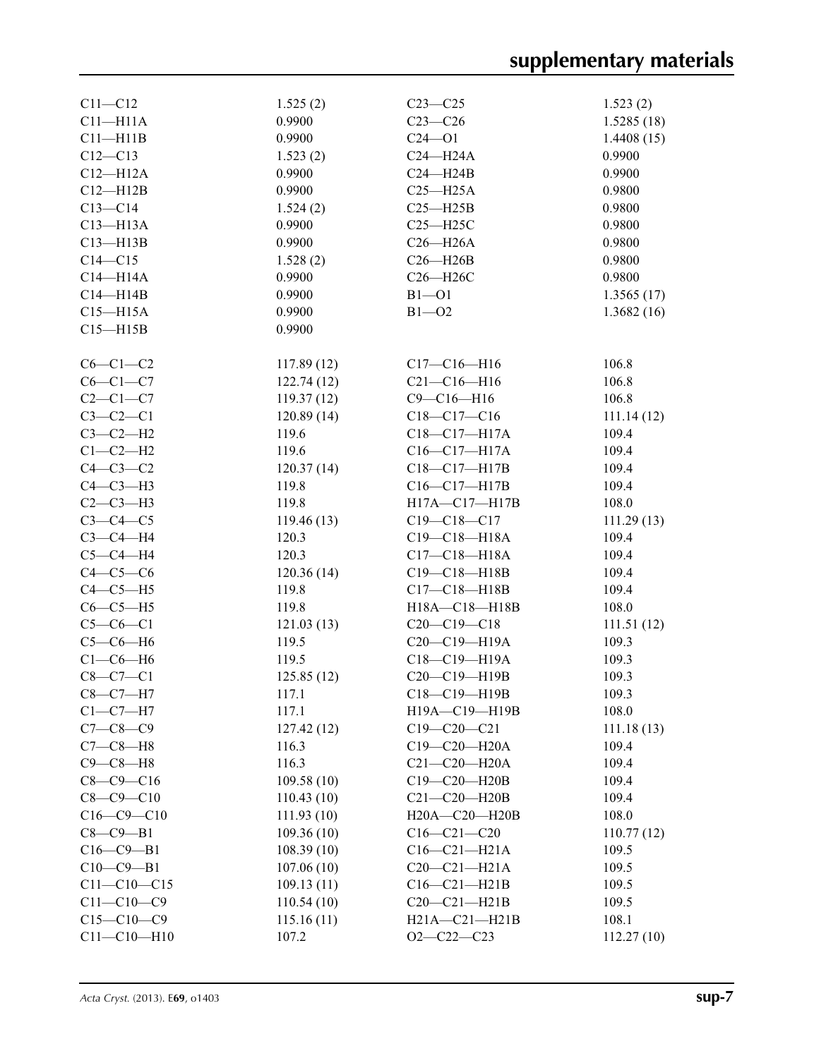| $C11 - C12$       | 1.525(2)   | $C23 - C25$         | 1.523(2)       |
|-------------------|------------|---------------------|----------------|
| $C11 - H11A$      | 0.9900     | $C23-C26$           | 1.5285(18)     |
| $C11 - H11B$      | 0.9900     | $C24 - 01$          | 1.4408(15)     |
| $C12 - C13$       | 1.523(2)   | $C24 - H24A$        | 0.9900         |
| $C12 - H12A$      | 0.9900     | $C24 - H24B$        | 0.9900         |
| $C12 - H12B$      | 0.9900     | $C25 - H25A$        | 0.9800         |
| $C13 - C14$       | 1.524(2)   | $C25 - H25B$        | 0.9800         |
| $C13 - H13A$      | 0.9900     | $C25 - H25C$        | 0.9800         |
| $C13 - H13B$      | 0.9900     | $C26 - H26A$        | 0.9800         |
| $C14 - C15$       | 1.528(2)   | $C26 - H26B$        | 0.9800         |
| $C14 - H14A$      | 0.9900     | C26-H26C            | 0.9800         |
| $C14 - H14B$      | 0.9900     | $B1 - O1$           | 1.3565(17)     |
| $C15 - H15A$      | 0.9900     | $B1 - O2$           | 1.3682(16)     |
| $C15 - H15B$      | 0.9900     |                     |                |
|                   |            |                     |                |
| $C6-C1-C2$        | 117.89(12) | $C17 - C16 - H16$   | 106.8          |
| $C6-C1-C7$        | 122.74(12) | $C21 - C16 - H16$   | 106.8          |
| $C2-C1-C7$        | 119.37(12) | $C9 - C16 - H16$    | 106.8          |
| $C3-C2-C1$        | 120.89(14) | $C18-C17-C16$       | 111.14(12)     |
| $C3-C2-H2$        | 119.6      | C18-C17-H17A        | 109.4          |
| $C1-C2-H2$        | 119.6      | $C16-C17-H17A$      | 109.4          |
| $C4-C3-C2$        | 120.37(14) | C18-C17-H17B        | 109.4          |
| $C4-C3-H3$        | 119.8      | C16-C17-H17B        | 109.4          |
| $C2-C3-H3$        | 119.8      | H17A-C17-H17B       | 108.0          |
| $C3-C4-C5$        | 119.46(13) | $C19 - C18 - C17$   | 111.29(13)     |
| $C3-C4-H4$        | 120.3      | $C19 - C18 - H18A$  | 109.4          |
| $C5-C4-H4$        | 120.3      | $C17 - C18 - H18A$  | 109.4          |
| $C4-C5-C6$        | 120.36(14) | C19-C18-H18B        | 109.4          |
| $C4-C5-H5$        | 119.8      | $C17 - C18 - H18B$  | 109.4          |
| $C6-C5-H5$        | 119.8      | H18A-C18-H18B       | 108.0          |
| $C5-C6-C1$        | 121.03(13) | $C20-C19-C18$       | 111.51(12)     |
| $C5-C6-H6$        | 119.5      | $C20-C19-H19A$      | 109.3          |
| $C1-C6-H6$        | 119.5      | C18-C19-H19A        | 109.3          |
| $C8 - C7 - C1$    | 125.85(12) | C20-C19-H19B        | 109.3          |
| $C8 - C7 - H7$    | 117.1      | C18-C19-H19B        | 109.3          |
| $C1-C7-H7$        | 117.1      | H19A-C19-H19B       | 108.0          |
| $C7 - C8 - C9$    | 127.42(12) | $C19 - C20 - C21$   | 111.18(13)     |
| $C7-C8-H8$        | 116.3      | C19-C20-H20A        | 109.4          |
| $C9 - C8 - H8$    | 116.3      | $C21-C20-H20A$      | 109.4          |
| $C8 - C9 - C16$   | 109.58(10) | C19-C20-H20B        | 109.4          |
| $C8 - C9 - C10$   | 110.43(10) | $C21-C20-H20B$      | 109.4          |
| $C16 - C9 - C10$  | 111.93(10) | $H20A - C20 - H20B$ | 108.0          |
| $C8-C9-B1$        | 109.36(10) | $C16 - C21 - C20$   | 110.77(12)     |
| $C16 - C9 - B1$   |            | $C16-C21-H21A$      | 109.5          |
| $C10-C9-B1$       | 108.39(10) | $C20-C21-H21A$      |                |
| $C11 - C10 - C15$ | 107.06(10) | $C16-C21-H21B$      | 109.5          |
| $C11 - C10 - C9$  | 109.13(11) | $C20-C21-H21B$      | 109.5<br>109.5 |
| $C15 - C10 - C9$  | 110.54(10) |                     | 108.1          |
|                   | 115.16(11) | $H21A - C21 - H21B$ |                |
| $C11 - C10 - H10$ | 107.2      | $O2 - C22 - C23$    | 112.27(10)     |